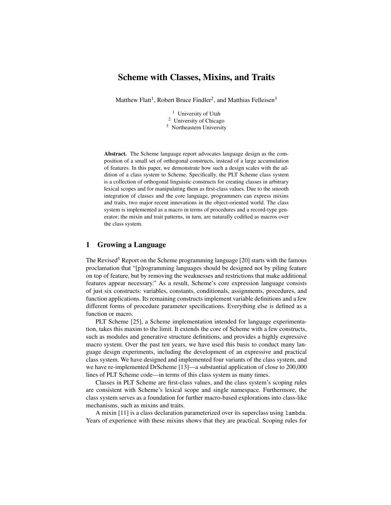# Scheme with Classes, Mixins, and Traits

Matthew Flatt<sup>1</sup>, Robert Bruce Findler<sup>2</sup>, and Matthias Felleisen<sup>3</sup>

<sup>1</sup> University of Utah <sup>2</sup> University of Chicago <sup>3</sup> Northeastern University

Abstract. The Scheme language report advocates language design as the composition of a small set of orthogonal constructs, instead of a large accumulation of features. In this paper, we demonstrate how such a design scales with the addition of a class system to Scheme. Specifically, the PLT Scheme class system is a collection of orthogonal linguistic constructs for creating classes in arbitrary lexical scopes and for manipulating them as first-class values. Due to the smooth integration of classes and the core language, programmers can express mixins and traits, two major recent innovations in the object-oriented world. The class system is implemented as a macro in terms of procedures and a record-type generator; the mixin and trait patterns, in turn, are naturally codified as macros over the class system.

# 1 Growing a Language

The Revised<sup>5</sup> Report on the Scheme programming language [20] starts with the famous proclamation that "[p]rogramming languages should be designed not by piling feature on top of feature, but by removing the weaknesses and restrictions that make additional features appear necessary." As a result, Scheme's core expression language consists of just six constructs: variables, constants, conditionals, assignments, procedures, and function applications. Its remaining constructs implement variable definitions and a few different forms of procedure parameter specifications. Everything else is defined as a function or macro.

PLT Scheme [25], a Scheme implementation intended for language experimentation, takes this maxim to the limit. It extends the core of Scheme with a few constructs, such as modules and generative structure definitions, and provides a highly expressive macro system. Over the past ten years, we have used this basis to conduct many language design experiments, including the development of an expressive and practical class system. We have designed and implemented four variants of the class system, and we have re-implemented DrScheme [13]—a substantial application of close to 200,000 lines of PLT Scheme code—in terms of this class system as many times.

Classes in PLT Scheme are first-class values, and the class system's scoping rules are consistent with Scheme's lexical scope and single namespace. Furthermore, the class system serves as a foundation for further macro-based explorations into class-like mechanisms, such as mixins and traits.

A mixin [11] is a class declaration parameterized over its superclass using lambda. Years of experience with these mixins shows that they are practical. Scoping rules for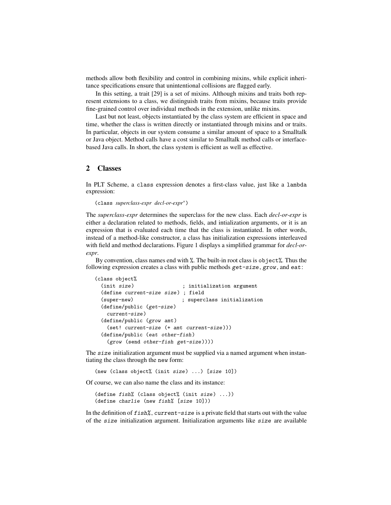methods allow both flexibility and control in combining mixins, while explicit inheritance specifications ensure that unintentional collisions are flagged early.

In this setting, a trait [29] is a set of mixins. Although mixins and traits both represent extensions to a class, we distinguish traits from mixins, because traits provide fine-grained control over individual methods in the extension, unlike mixins.

Last but not least, objects instantiated by the class system are efficient in space and time, whether the class is written directly or instantiated through mixins and or traits. In particular, objects in our system consume a similar amount of space to a Smalltalk or Java object. Method calls have a cost similar to Smalltalk method calls or interfacebased Java calls. In short, the class system is efficient as well as effective.

### 2 Classes

In PLT Scheme, a class expression denotes a first-class value, just like a lambda expression:

(class *superclass-expr decl-or-expr*∗)

The *superclass-expr* determines the superclass for the new class. Each *decl-or-expr* is either a declaration related to methods, fields, and intialization arguments, or it is an expression that is evaluated each time that the class is instantiated. In other words, instead of a method-like constructor, a class has initialization expressions interleaved with field and method declarations. Figure 1 displays a simplified grammar for *decl-orexpr*.

By convention, class names end with %. The built-in root class is object%. Thus the following expression creates a class with public methods get-size, grow, and eat:

```
(class object%
 (init size) ; initialization argument
 (define current-size size) ; field
 (super-new) ; superclass initialization
 (define/public (get-size)
   current-size)
 (define/public (grow amt)
   (set! current-size (+ amt current-size)))
 (define/public (eat other-fish)
   (grow (send other-fish get-size))))
```
The size initialization argument must be supplied via a named argument when instantiating the class through the new form:

(new (class object% (init size) ...) [size 10])

Of course, we can also name the class and its instance:

```
(define fish% (class object% (init size) ...))
(define charlie (new fish% [size 10]))
```
In the definition of fish%, current-size is a private field that starts out with the value of the size initialization argument. Initialization arguments like size are available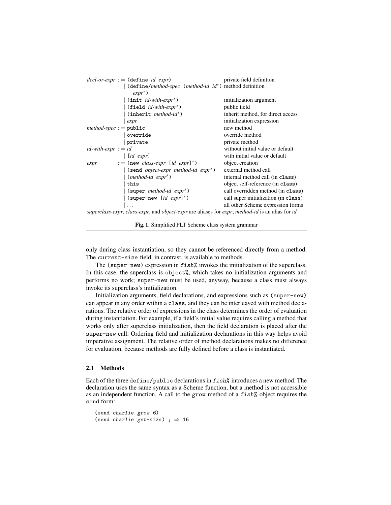|                                                                                                 | $\text{decl-or-expr} ::= (\text{define } \text{id } \text{expr})$ | private field definition             |
|-------------------------------------------------------------------------------------------------|-------------------------------------------------------------------|--------------------------------------|
|                                                                                                 | (define/method-spec (method-id id*) method definition             |                                      |
|                                                                                                 | $expr^*)$                                                         |                                      |
|                                                                                                 | $(int id-withexpr*)$                                              | initialization argument              |
|                                                                                                 | $(field id-with-expr*)$                                           | public field                         |
|                                                                                                 | $(inherit$ method-id*)                                            | inherit method, for direct access    |
|                                                                                                 | expr                                                              | initialization expression            |
| $method\text{-}spec ::= public$                                                                 |                                                                   | new method                           |
|                                                                                                 | override                                                          | override method                      |
|                                                                                                 | private                                                           | private method                       |
| $id\text{-}with\text{-}expr ::= id$                                                             |                                                                   | without initial value or default     |
|                                                                                                 | $(id \; expr]$                                                    | with initial value or default        |
| expr                                                                                            | $ ::=$ (new class-expr [id expr]*)                                | object creation                      |
|                                                                                                 | (send object-expr method-id expr <sup>*</sup> )                   | external method call                 |
|                                                                                                 | $(method-id \; expr^*)$                                           | internal method call (in class)      |
|                                                                                                 | this                                                              | object self-reference (in class)     |
|                                                                                                 | $(super method-id expr*)$                                         | call overridden method (in class)    |
|                                                                                                 | (super-new $(id \; expr]$ *)                                      | call super initialization (in class) |
|                                                                                                 |                                                                   | all other Scheme expression forms    |
| superclass-expr, class-expr, and object-expr are aliases for expr; method-id is an alias for id |                                                                   |                                      |

Fig. 1. Simplified PLT Scheme class system grammar

only during class instantiation, so they cannot be referenced directly from a method. The current-size field, in contrast, is available to methods.

The (super-new) expression in  $fish\%$  invokes the initialization of the superclass. In this case, the superclass is object%, which takes no initialization arguments and performs no work; super-new must be used, anyway, because a class must always invoke its superclass's initialization.

Initialization arguments, field declarations, and expressions such as (super-new) can appear in any order within a class, and they can be interleaved with method declarations. The relative order of expressions in the class determines the order of evaluation during instantiation. For example, if a field's initial value requires calling a method that works only after superclass initialization, then the field declaration is placed after the super-new call. Ordering field and initialization declarations in this way helps avoid imperative assignment. The relative order of method declarations makes no difference for evaluation, because methods are fully defined before a class is instantiated.

## 2.1 Methods

Each of the three define/public declarations in fish% introduces a new method. The declaration uses the same syntax as a Scheme function, but a method is not accessible as an independent function. A call to the grow method of a fish% object requires the send form:

```
(send charlie grow 6)
(send charlie get-size) ; \Rightarrow 16
```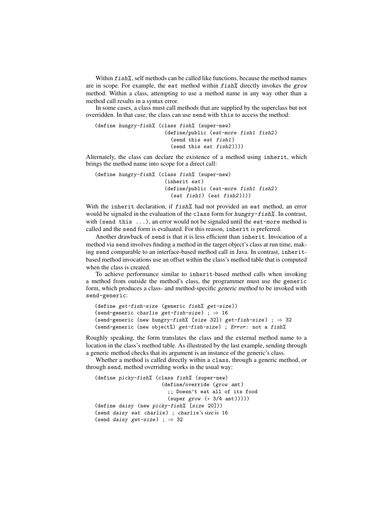Within  $fish\%$ , self methods can be called like functions, because the method names are in scope. For example, the eat method within fish% directly invokes the grow method. Within a class, attempting to use a method name in any way other than a method call results in a syntax error.

In some cases, a class must call methods that are supplied by the superclass but not overridden. In that case, the class can use send with this to access the method:

```
(define hungry-fish% (class fish% (super-new)
                       (define/public (eat-more fish1 fish2)
                         (send this eat fish1)
                         (send this eat fish2))))
```
Alternately, the class can declare the existence of a method using inherit, which brings the method name into scope for a direct call:

```
(define hungry-fish% (class fish% (super-new)
                       (inherit eat)
                       (define/public (eat-more fish1 fish2)
                         (eat fish1) (eat fish2))))
```
With the inherit declaration, if  $fish%$  had not provided an eat method, an error would be signaled in the evaluation of the class form for hungry-fish%. In contrast, with (send this  $\dots$ ), an error would not be signaled until the eat-more method is called and the send form is evaluated. For this reason, inherit is preferred.

Another drawback of send is that it is less efficient than inherit. Invocation of a method via send involves finding a method in the target object's class at run time, making send comparable to an interface-based method call in Java. In contrast, inheritbased method invocations use an offset within the class's method table that is computed when the class is created.

To achieve performance similar to inherit-based method calls when invoking a method from outside the method's class, the programmer must use the generic form, which produces a class- and method-specific generic method to be invoked with send-generic:

```
(define get-fish-size (generic fish% get-size))
(send-generic charlie get-fish-size) ; \Rightarrow 16
(send-generic (new hungry-fish% [size 32]) get-fish-size) ; \Rightarrow 32
(send-generic (new object%) get-fish-size) ; Error: not a fish%
```
Roughly speaking, the form translates the class and the external method name to a location in the class's method table. As illustrated by the last example, sending through a generic method checks that its argument is an instance of the generic's class.

Whether a method is called directly within a class, through a generic method, or through send, method overriding works in the usual way:

```
(define picky-fish% (class fish% (super-new)
                       (define/override (grow amt)
                         ;; Doesn't eat all of its food
                         (super grow (* 3/4 amt))))(define daisy (new picky-fish% [size 20]))
(send daisy eat charlie) ; charlie's size is 16
(send daisy get-size) ; \Rightarrow 32
```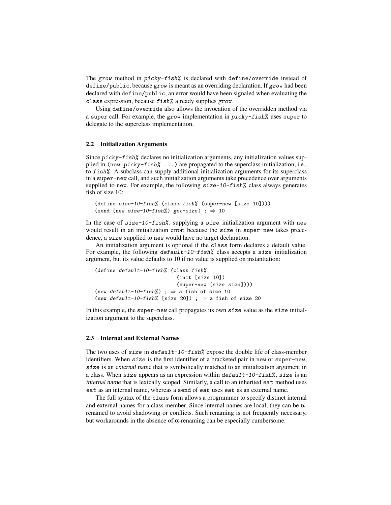The grow method in picky-fish% is declared with define/override instead of define/public, because grow is meant as an overriding declaration. If grow had been declared with define/public, an error would have been signaled when evaluating the class expression, because fish% already supplies grow.

Using define/override also allows the invocation of the overridden method via a super call. For example, the grow implementation in picky-fish% uses super to delegate to the superclass implementation.

### 2.2 Initialization Arguments

Since picky-fish% declares no initialization arguments, any initialization values supplied in (new picky-fish% ...) are propagated to the superclass initialization, i.e., to fish%. A subclass can supply additional initialization arguments for its superclass in a super-new call, and such initialization arguments take precedence over arguments supplied to new. For example, the following size-10-fish% class always generates fish of size 10:

```
(define size-10-fish% (class fish% (super-new [size 10])))
(send (new size-10-fish%) get-size) ; \Rightarrow 10
```
In the case of  $size-10-fish\%$ , supplying a size initialization argument with new would result in an initialization error; because the size in super-new takes precedence, a size supplied to new would have no target declaration.

An initialization argument is optional if the class form declares a default value. For example, the following default-10-fish% class accepts a size initialization argument, but its value defaults to 10 if no value is supplied on instantiation:

```
(define default-10-fish% (class fish%
                              (init [size 10])
                              (super-new [size size])))
(new default-10-fish%) ; \Rightarrow a fish of size 10
(new default-10-fish% [size 20]) ; \Rightarrow a fish of size 20
```
In this example, the super-new call propagates its own size value as the size initialization argument to the superclass.

### 2.3 Internal and External Names

The two uses of size in default-10-fish% expose the double life of class-member identifiers. When size is the first identifier of a bracketed pair in new or super-new, size is an external name that is symbolically matched to an initialization argument in a class. When size appears as an expression within default-10-fish%, size is an internal name that is lexically scoped. Similarly, a call to an inherited eat method uses eat as an internal name, whereas a send of eat uses eat as an external name.

The full syntax of the class form allows a programmer to specify distinct internal and external names for a class member. Since internal names are local, they can be  $\alpha$ renamed to avoid shadowing or conflicts. Such renaming is not frequently necessary, but workarounds in the absence of α-renaming can be especially cumbersome.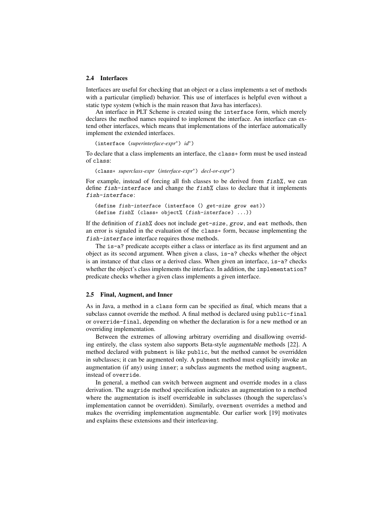#### 2.4 Interfaces

Interfaces are useful for checking that an object or a class implements a set of methods with a particular (implied) behavior. This use of interfaces is helpful even without a static type system (which is the main reason that Java has interfaces).

An interface in PLT Scheme is created using the interface form, which merely declares the method names required to implement the interface. An interface can extend other interfaces, which means that implementations of the interface automatically implement the extended interfaces.

```
(interface (superinterface-expr∗) id∗)
```
To declare that a class implements an interface, the class∗ form must be used instead of class:

```
(class∗ superclass-expr (interface-expr∗) decl-or-expr∗)
```
For example, instead of forcing all fish classes to be derived from fish%, we can define fish-interface and change the fish% class to declare that it implements fish-interface:

```
(define fish-interface (interface () get-size grow eat))
(define fish% (class∗ object% (fish-interface) ...))
```
If the definition of  $fish\%$  does not include get-size, grow, and eat methods, then an error is signaled in the evaluation of the class∗ form, because implementing the fish-interface interface requires those methods.

The is-a? predicate accepts either a class or interface as its first argument and an object as its second argument. When given a class, is-a? checks whether the object is an instance of that class or a derived class. When given an interface, is-a? checks whether the object's class implements the interface. In addition, the implementation? predicate checks whether a given class implements a given interface.

### 2.5 Final, Augment, and Inner

As in Java, a method in a class form can be specified as final, which means that a subclass cannot override the method. A final method is declared using public-final or override-final, depending on whether the declaration is for a new method or an overriding implementation.

Between the extremes of allowing arbitrary overriding and disallowing overriding entirely, the class system also supports Beta-style augmentable methods [22]. A method declared with pubment is like public, but the method cannot be overridden in subclasses; it can be augmented only. A pubment method must explicitly invoke an augmentation (if any) using inner; a subclass augments the method using augment, instead of override.

In general, a method can switch between augment and override modes in a class derivation. The augride method specification indicates an augmentation to a method where the augmentation is itself overrideable in subclasses (though the superclass's implementation cannot be overridden). Similarly, overment overrides a method and makes the overriding implementation augmentable. Our earlier work [19] motivates and explains these extensions and their interleaving.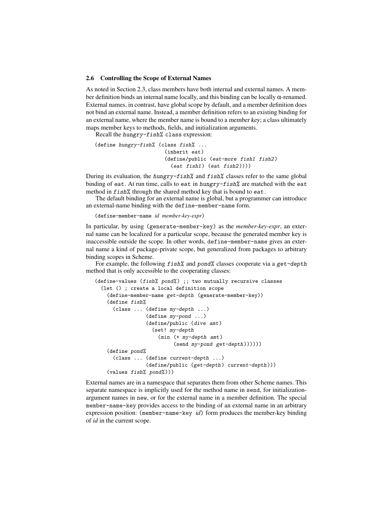### 2.6 Controlling the Scope of External Names

As noted in Section 2.3, class members have both internal and external names. A member definition binds an internal name locally, and this binding can be locally  $\alpha$ -renamed. External names, in contrast, have global scope by default, and a member definition does not bind an external name. Instead, a member definition refers to an existing binding for an external name, where the member name is bound to a member key; a class ultimately maps member keys to methods, fields, and initialization arguments.

Recall the hungry-fish% class expression:

```
(define hungry-fish% (class fish% ...
                       (inherit eat)
                       (define/public (eat-more fish1 fish2)
                         (eat fish1) (eat fish2))))
```
During its evaluation, the hungry-fish<sup>%</sup> and fish<sup>%</sup> classes refer to the same global binding of eat. At run time, calls to eat in hungry-fish% are matched with the eat method in fish<sup>%</sup> through the shared method key that is bound to eat.

The default binding for an external name is global, but a programmer can introduce an external-name binding with the define-member-name form.

(define-member-name *id member-key-expr*)

In particular, by using (generate-member-key) as the *member-key-expr*, an external name can be localized for a particular scope, because the generated member key is inaccessible outside the scope. In other words, define-member-name gives an external name a kind of package-private scope, but generalized from packages to arbitrary binding scopes in Scheme.

For example, the following fish<sup>%</sup> and pond<sup>%</sup> classes cooperate via a get-depth method that is only accessible to the cooperating classes:

```
(define-values (fish% pond%) ;; two mutually recursive classes
  (let () ; create a local definition scope
    (define-member-name get-depth (generate-member-key))
    (define fish%
     (class ... (define my-depth ...)
                 (define my-pond ...)
                 (define/public (dive amt)
                   (set! my-depth
                     (min (+ my-depth amt)
                          (send my-pond get-depth))))))
    (define pond%
      (class ... (define current-depth ...)
                 (define/public (get-depth) current-depth)))
    (values fish% pond%)))
```
External names are in a namespace that separates them from other Scheme names. This separate namespace is implicitly used for the method name in send, for initializationargument names in new, or for the external name in a member definition. The special member-name-key provides access to the binding of an external name in an arbitrary expression position: (member-name-key *id*) form produces the member-key binding of *id* in the current scope.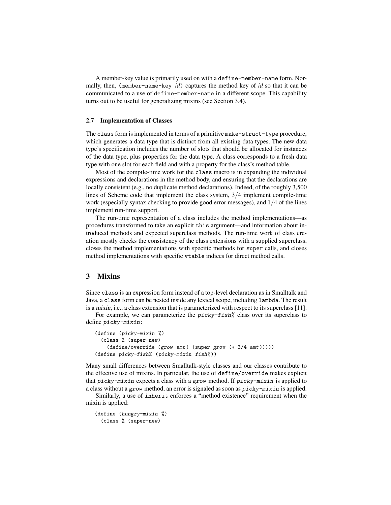A member-key value is primarily used on with a define-member-name form. Normally, then, (member-name-key *id*) captures the method key of *id* so that it can be communicated to a use of define-member-name in a different scope. This capability turns out to be useful for generalizing mixins (see Section 3.4).

#### 2.7 Implementation of Classes

The class form is implemented in terms of a primitive make-struct-type procedure, which generates a data type that is distinct from all existing data types. The new data type's specification includes the number of slots that should be allocated for instances of the data type, plus properties for the data type. A class corresponds to a fresh data type with one slot for each field and with a property for the class's method table.

Most of the compile-time work for the class macro is in expanding the individual expressions and declarations in the method body, and ensuring that the declarations are locally consistent (e.g., no duplicate method declarations). Indeed, of the roughly 3,500 lines of Scheme code that implement the class system, 3/4 implement compile-time work (especially syntax checking to provide good error messages), and 1/4 of the lines implement run-time support.

The run-time representation of a class includes the method implementations—as procedures transformed to take an explicit this argument—and information about introduced methods and expected superclass methods. The run-time work of class creation mostly checks the consistency of the class extensions with a supplied superclass, closes the method implementations with specific methods for super calls, and closes method implementations with specific vtable indices for direct method calls.

## 3 Mixins

Since class is an expression form instead of a top-level declaration as in Smalltalk and Java, a class form can be nested inside any lexical scope, including lambda. The result is a mixin, i.e., a class extension that is parameterized with respect to its superclass [11].

For example, we can parameterize the picky-fish% class over its superclass to define picky-mixin:

```
(define (picky-mixin %)
  (class % (super-new)
    (define/override (grow amt) (super grow (∗ 3/4 amt)))))
(define picky-fish% (picky-mixin fish%))
```
Many small differences between Smalltalk-style classes and our classes contribute to the effective use of mixins. In particular, the use of define/override makes explicit that picky-mixin expects a class with a grow method. If picky-mixin is applied to a class without a grow method, an error is signaled as soon as picky-mixin is applied.

Similarly, a use of inherit enforces a "method existence" requirement when the mixin is applied:

(define (hungry-mixin %) (class % (super-new)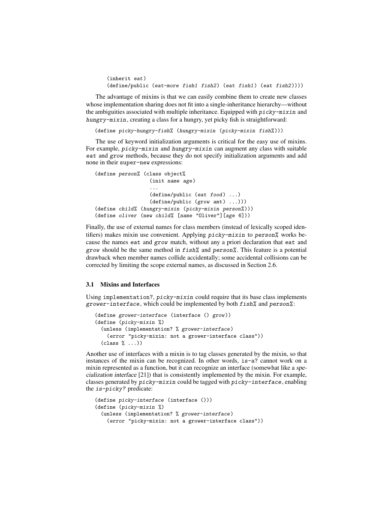```
(inherit eat)
(define/public (eat-more fish1 fish2) (eat fish1) (eat fish2))))
```
The advantage of mixins is that we can easily combine them to create new classes whose implementation sharing does not fit into a single-inheritance hierarchy—without the ambiguities associated with multiple inheritance. Equipped with picky-mixin and hungry-mixin, creating a class for a hungry, yet picky fish is straightforward:

(define picky-hungry-fish% (hungry-mixin (picky-mixin fish%)))

The use of keyword initialization arguments is critical for the easy use of mixins. For example, picky-mixin and hungry-mixin can augment any class with suitable eat and grow methods, because they do not specify initialization arguments and add none in their super-new expressions:

```
(define person% (class object%
                  (init name age)
                  ...
                  (define/public (eat food) ...)
                  (define/public (grow amt) ...)))
(define child% (hungry-mixin (picky-mixin person%)))
(define oliver (new child% [name "Oliver"][age 6]))
```
Finally, the use of external names for class members (instead of lexically scoped identifiers) makes mixin use convenient. Applying picky-mixin to person% works because the names eat and grow match, without any a priori declaration that eat and grow should be the same method in fish% and person%. This feature is a potential drawback when member names collide accidentally; some accidental collisions can be corrected by limiting the scope external names, as discussed in Section 2.6.

### 3.1 Mixins and Interfaces

Using implementation?, picky-mixin could require that its base class implements grower-interface, which could be implemented by both fish% and person%:

```
(define grower-interface (interface () grow))
(define (picky-mixin %)
 (unless (implementation? % grower-interface)
    (error "picky-mixin: not a grower-interface class"))
  (class % ... )
```
Another use of interfaces with a mixin is to tag classes generated by the mixin, so that instances of the mixin can be recognized. In other words, is-a? cannot work on a mixin represented as a function, but it can recognize an interface (somewhat like a specialization interface [21]) that is consistently implemented by the mixin. For example, classes generated by picky-mixin could be tagged with picky-interface, enabling the is-picky? predicate:

```
(define picky-interface (interface ()))
(define (picky-mixin %)
  (unless (implementation? % grower-interface)
    (error "picky-mixin: not a grower-interface class"))
```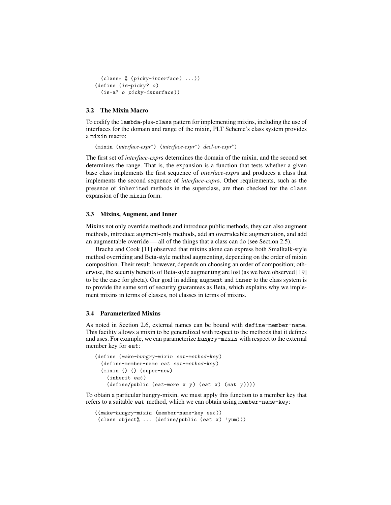```
(class∗ % (picky-interface) ...))
(define (is-picky? o)
 (is-a? o picky-interface))
```
### 3.2 The Mixin Macro

To codify the lambda-plus-class pattern for implementing mixins, including the use of interfaces for the domain and range of the mixin, PLT Scheme's class system provides a mixin macro:

(mixin (*interface-expr*∗) (*interface-expr*∗) *decl-or-expr*∗)

The first set of *interface-expr*s determines the domain of the mixin, and the second set determines the range. That is, the expansion is a function that tests whether a given base class implements the first sequence of *interface-expr*s and produces a class that implements the second sequence of *interface-expr*s. Other requirements, such as the presence of inherited methods in the superclass, are then checked for the class expansion of the mixin form.

### 3.3 Mixins, Augment, and Inner

Mixins not only override methods and introduce public methods, they can also augment methods, introduce augment-only methods, add an overrideable augmentation, and add an augmentable override — all of the things that a class can do (see Section 2.5).

Bracha and Cook [11] observed that mixins alone can express both Smalltalk-style method overriding and Beta-style method augmenting, depending on the order of mixin composition. Their result, however, depends on choosing an order of composition; otherwise, the security benefits of Beta-style augmenting are lost (as we have observed [19] to be the case for gbeta). Our goal in adding augment and inner to the class system is to provide the same sort of security guarantees as Beta, which explains why we implement mixins in terms of classes, not classes in terms of mixins.

### 3.4 Parameterized Mixins

As noted in Section 2.6, external names can be bound with define-member-name. This facility allows a mixin to be generalized with respect to the methods that it defines and uses. For example, we can parameterize hungry-mixin with respect to the external member key for eat:

```
(define (make-hungry-mixin eat-method-key)
  (define-member-name eat eat-method-key)
  (mixin () () (super-new)
    (inherit eat)
    (define/public (eat-more x y) (eat x) (eat y))))
```
To obtain a particular hungry-mixin, we must apply this function to a member key that refers to a suitable eat method, which we can obtain using member-name-key:

```
((make-hungry-mixin (member-name-key eat))
(class object% ... (define/public (eat x) 'yum)))
```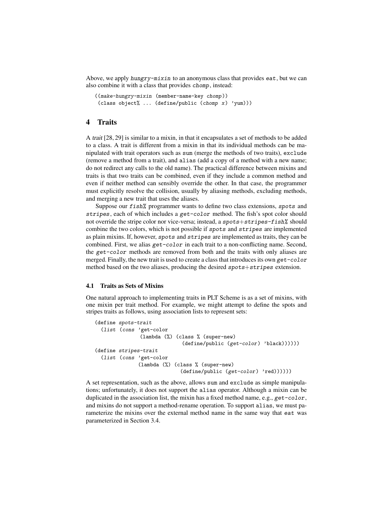Above, we apply hungry-mixin to an anonymous class that provides eat, but we can also combine it with a class that provides chomp, instead:

```
((make-hungry-mixin (member-name-key chomp))
(class object% ... (define/public (chomp x) 'yum)))
```
# 4 Traits

A trait [28, 29] is similar to a mixin, in that it encapsulates a set of methods to be added to a class. A trait is different from a mixin in that its individual methods can be manipulated with trait operators such as sum (merge the methods of two traits), exclude (remove a method from a trait), and alias (add a copy of a method with a new name; do not redirect any calls to the old name). The practical difference between mixins and traits is that two traits can be combined, even if they include a common method and even if neither method can sensibly override the other. In that case, the programmer must explicitly resolve the collision, usually by aliasing methods, excluding methods, and merging a new trait that uses the aliases.

Suppose our fish% programmer wants to define two class extensions, spots and stripes, each of which includes a get-color method. The fish's spot color should not override the stripe color nor vice-versa; instead, a spots+stripes-fish% should combine the two colors, which is not possible if spots and stripes are implemented as plain mixins. If, however, spots and stripes are implemented as traits, they can be combined. First, we alias get-color in each trait to a non-conflicting name. Second, the get-color methods are removed from both and the traits with only aliases are merged. Finally, the new trait is used to create a class that introduces its own get-color method based on the two aliases, producing the desired spots+stripes extension.

### 4.1 Traits as Sets of Mixins

One natural approach to implementing traits in PLT Scheme is as a set of mixins, with one mixin per trait method. For example, we might attempt to define the spots and stripes traits as follows, using association lists to represent sets:

```
(define spots-trait
  (list (cons 'get-color
               (lambda (%) (class % (super-new)
                             (define/public (get-color) 'black))))))
(define stripes-trait
  (list (cons 'get-color
              (lambda (%) (class % (super-new)
                            (define/public (get-color) 'red))))))
```
A set representation, such as the above, allows sum and exclude as simple manipulations; unfortunately, it does not support the alias operator. Although a mixin can be duplicated in the association list, the mixin has a fixed method name, e.g.,  $get-color$ , and mixins do not support a method-rename operation. To support alias, we must parameterize the mixins over the external method name in the same way that eat was parameterized in Section 3.4.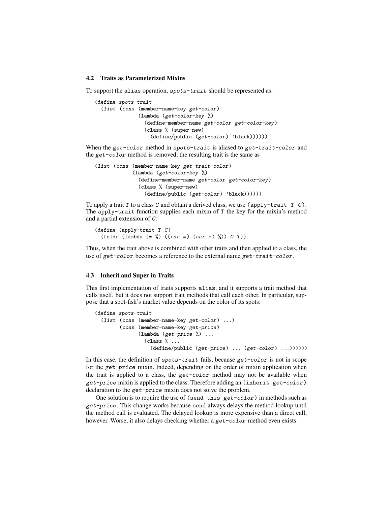### 4.2 Traits as Parameterized Mixins

To support the alias operation, spots-trait should be represented as:

```
(define spots-trait
 (list (cons (member-name-key get-color)
              (lambda (get-color-key %)
                (define-member-name get-color get-color-key)
                (class % (super-new)
                  (define/public (get-color) 'black))))))
```
When the get-color method in spots-trait is aliased to get-trait-color and the get-color method is removed, the resulting trait is the same as

```
(list (cons (member-name-key get-trait-color)
            (lambda (get-color-key %)
              (define-member-name get-color get-color-key)
              (class % (super-new)
                (define/public (get-color) 'black))))))
```
To apply a trait T to a class C and obtain a derived class, we use (apply-trait  $T C$ ). The apply-trait function supplies each mixin of  $T$  the key for the mixin's method and a partial extension of C:

```
(define (apply-trait T C)
  (foldr (lambda (m %) ((cdr m) (car m) %)) C T))
```
Thus, when the trait above is combined with other traits and then applied to a class, the use of get-color becomes a reference to the external name get-trait-color.

#### 4.3 Inherit and Super in Traits

This first implementation of traits supports alias, and it supports a trait method that calls itself, but it does not support trait methods that call each other. In particular, suppose that a spot-fish's market value depends on the color of its spots:

```
(define spots-trait
  (list (cons (member-name-key get-color) ...)
        (cons (member-name-key get-price)
              (lambda (get-price %) ...
                (class % ...
                  (define/public (get-price) ... (get-color) ...))))))
```
In this case, the definition of spots-trait fails, because get-color is not in scope for the get-price mixin. Indeed, depending on the order of mixin application when the trait is applied to a class, the get-color method may not be available when get-price mixin is applied to the class. Therefore adding an (inherit get-color) declaration to the get-price mixin does not solve the problem.

One solution is to require the use of (send this get-color) in methods such as get-price. This change works because send always delays the method lookup until the method call is evaluated. The delayed lookup is more expensive than a direct call, however. Worse, it also delays checking whether a get-color method even exists.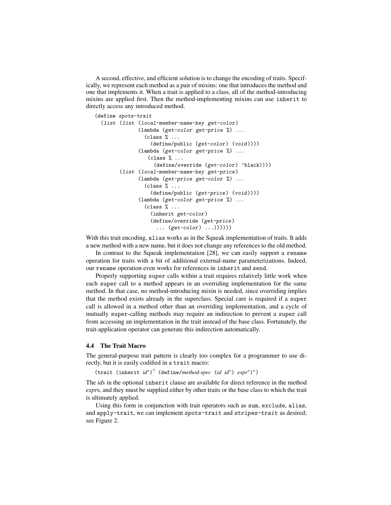A second, effective, and efficient solution is to change the encoding of traits. Specifically, we represent each method as a pair of mixins: one that introduces the method and one that implements it. When a trait is applied to a class, all of the method-introducing mixins are applied first. Then the method-implementing mixins can use inherit to directly access any introduced method.

```
(define spots-trait
  (list (list (local-member-name-key get-color)
              (lambda (get-color get-price %) ...
                (class % ...
                   (define/public (get-color) (void))))
              (lambda (get-color get-price %) ...
                  (class % ...(define/override (get-color) 'black))))
        (list (local-member-name-key get-price)
              (lambda (get-price get-color %) ...
                (class % ...
                   (define/public (get-price) (void))))
              (lambda (get-color get-price %) ...
                (class % ...(inherit get-color)
                   (define/override (get-price)
                     \ldots (get-color) \ldots))))))
```
With this trait encoding, alias works as in the Squeak implementation of traits. It adds a new method with a new name, but it does not change any references to the old method.

In contrast to the Squeak implementation [28], we can easily support a rename operation for traits with a bit of additional external-name parameterizations. Indeed, our rename operation even works for references in inherit and send.

Properly supporting super calls within a trait requires relatively little work when each super call to a method appears in an overriding implementation for the same method. In that case, no method-introducing mixin is needed, since overriding implies that the method exists already in the superclass. Special care is required if a super call is allowed in a method other than an overriding implementation, and a cycle of mutually super-calling methods may require an indirection to prevent a super call from accessing an implementation in the trait instead of the base class. Fortunately, the trait-application operator can generate this indirection automatically.

## 4.4 The Trait Macro

The general-purpose trait pattern is clearly too complex for a programmer to use directly, but it is easily codified in a trait macro:

(trait (inherit *id*∗) ? (define/*method-spec* (*id id*∗) *expr*∗) ∗)

The *id*s in the optional inherit clause are available for direct reference in the method *expr*s, and they must be supplied either by other traits or the base class to which the trait is ultimately applied.

Using this form in conjunction with trait operators such as sum, exclude, alias, and apply-trait, we can implement spots-trait and stripes-trait as desired; see Figure 2.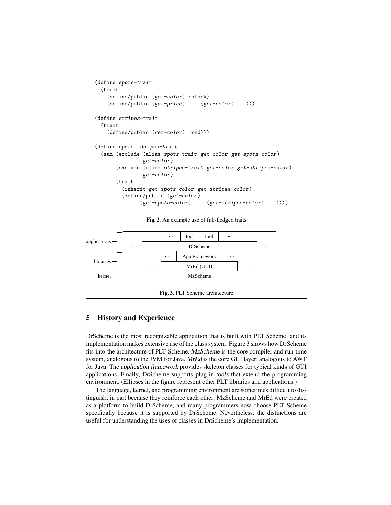```
(define spots-trait
 (trait
    (define/public (get-color) 'black)
    (define/public (get-price) ... (get-color) ...)))
(define stripes-trait
  (trait
    (define/public (get-color) 'red)))
(define spots+stripes-trait
  (sum (exclude (alias spots-trait get-color get-spots-color)
                get-color)
       (exclude (alias stripes-trait get-color get-stripes-color)
                get-color)
       (trait
         (inherit get-spots-color get-stripes-color)
         (define/public (get-color)
           ... (get-spots-color) ... (get-stripes-color) ...))))
```
Fig. 2. An example use of full-fledged traits





# 5 History and Experience

DrScheme is the most recognizable application that is built with PLT Scheme, and its implementation makes extensive use of the class system. Figure 3 shows how DrScheme fits into the architecture of PLT Scheme. MzScheme is the core compiler and run-time system, analogous to the JVM for Java. MrEd is the core GUI layer, analogous to AWT for Java. The application framework provides skeleton classes for typical kinds of GUI applications. Finally, DrScheme supports plug-in tools that extend the programming environment. (Ellipses in the figure represent other PLT libraries and applications.)

The language, kernel, and programming environment are sometimes difficult to distinguish, in part because they reinforce each other: MzScheme and MrEd were created as a platform to build DrScheme, and many programmers now choose PLT Scheme specifically because it is supported by DrScheme. Nevertheless, the distinctions are useful for understanding the uses of classes in DrScheme's implementation.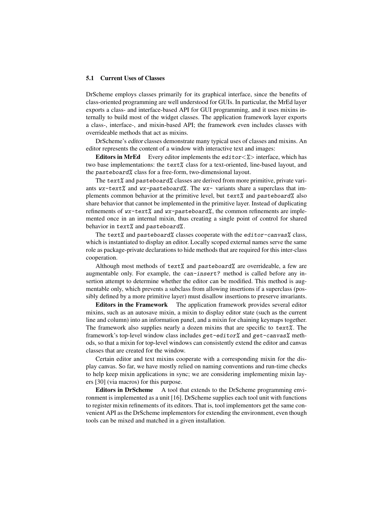### 5.1 Current Uses of Classes

DrScheme employs classes primarily for its graphical interface, since the benefits of class-oriented programming are well understood for GUIs. In particular, the MrEd layer exports a class- and interface-based API for GUI programming, and it uses mixins internally to build most of the widget classes. The application framework layer exports a class-, interface-, and mixin-based API; the framework even includes classes with overrideable methods that act as mixins.

DrScheme's editor classes demonstrate many typical uses of classes and mixins. An editor represents the content of a window with interactive text and images:

Editors in MrEd Every editor implements the editor $\langle\!\!\!\langle \rangle\!\!\!\rangle$  interface, which has two base implementations: the text% class for a text-oriented, line-based layout, and the pasteboard% class for a free-form, two-dimensional layout.

The text% and pasteboard% classes are derived from more primitive, private variants  $wx-text$  and  $wx-pasteboard$ . The  $wx-$  variants share a superclass that implements common behavior at the primitive level, but text% and pasteboard% also share behavior that cannot be implemented in the primitive layer. Instead of duplicating refinements of  $wx$ -text% and  $wx$ -pasteboard%, the common refinements are implemented once in an internal mixin, thus creating a single point of control for shared behavior in text% and pasteboard%.

The text% and pasteboard% classes cooperate with the editor-canvas% class, which is instantiated to display an editor. Locally scoped external names serve the same role as package-private declarations to hide methods that are required for this inter-class cooperation.

Although most methods of text% and pasteboard% are overrideable, a few are augmentable only. For example, the can-insert? method is called before any insertion attempt to determine whether the editor can be modified. This method is augmentable only, which prevents a subclass from allowing insertions if a superclass (possibly defined by a more primitive layer) must disallow insertions to preserve invariants.

Editors in the Framework The application framework provides several editor mixins, such as an autosave mixin, a mixin to display editor state (such as the current line and column) into an information panel, and a mixin for chaining keymaps together. The framework also supplies nearly a dozen mixins that are specific to  $text%$ . The framework's top-level window class includes get-editor% and get-canvas% methods, so that a mixin for top-level windows can consistently extend the editor and canvas classes that are created for the window.

Certain editor and text mixins cooperate with a corresponding mixin for the display canvas. So far, we have mostly relied on naming conventions and run-time checks to help keep mixin applications in sync; we are considering implementing mixin layers [30] (via macros) for this purpose.

Editors in DrScheme A tool that extends to the DrScheme programming environment is implemented as a unit [16]. DrScheme supplies each tool unit with functions to register mixin refinements of its editors. That is, tool implementors get the same convenient API as the DrScheme implementors for extending the environment, even though tools can be mixed and matched in a given installation.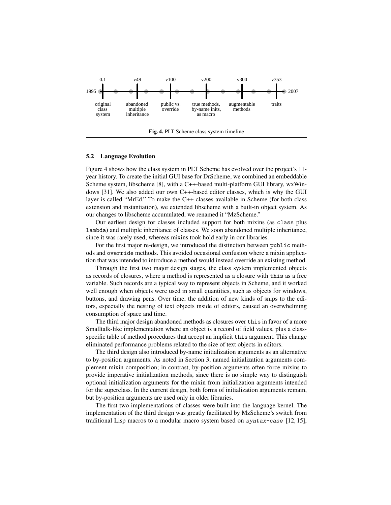

Fig. 4. PLT Scheme class system timeline

#### 5.2 Language Evolution

Figure 4 shows how the class system in PLT Scheme has evolved over the project's 11 year history. To create the initial GUI base for DrScheme, we combined an embeddable Scheme system, libscheme [8], with a C++-based multi-platform GUI library, wxWindows [31]. We also added our own C++-based editor classes, which is why the GUI layer is called "MrEd." To make the C++ classes available in Scheme (for both class extension and instantiation), we extended libscheme with a built-in object system. As our changes to libscheme accumulated, we renamed it "MzScheme."

Our earliest design for classes included support for both mixins (as class plus lambda) and multiple inheritance of classes. We soon abandoned multiple inheritance, since it was rarely used, whereas mixins took hold early in our libraries.

For the first major re-design, we introduced the distinction between public methods and override methods. This avoided occasional confusion where a mixin application that was intended to introduce a method would instead override an existing method.

Through the first two major design stages, the class system implemented objects as records of closures, where a method is represented as a closure with this as a free variable. Such records are a typical way to represent objects in Scheme, and it worked well enough when objects were used in small quantities, such as objects for windows, buttons, and drawing pens. Over time, the addition of new kinds of snips to the editors, especially the nesting of text objects inside of editors, caused an overwhelming consumption of space and time.

The third major design abandoned methods as closures over this in favor of a more Smalltalk-like implementation where an object is a record of field values, plus a classspecific table of method procedures that accept an implicit this argument. This change eliminated performance problems related to the size of text objects in editors.

The third design also introduced by-name initialization arguments as an alternative to by-position arguments. As noted in Section 3, named initialization arguments complement mixin composition; in contrast, by-position arguments often force mixins to provide imperative initialization methods, since there is no simple way to distinguish optional initialization arguments for the mixin from initialization arguments intended for the superclass. In the current design, both forms of initialization arguments remain, but by-position arguments are used only in older libraries.

The first two implementations of classes were built into the language kernel. The implementation of the third design was greatly facilitated by MzScheme's switch from traditional Lisp macros to a modular macro system based on syntax-case [12, 15],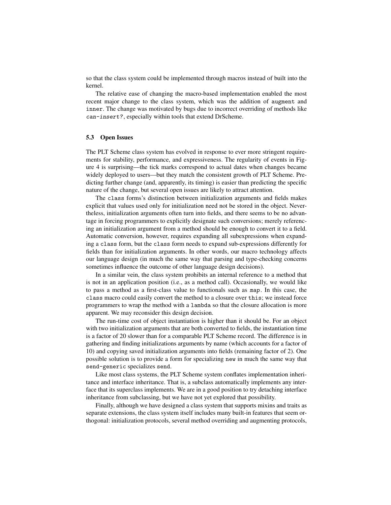so that the class system could be implemented through macros instead of built into the kernel.

The relative ease of changing the macro-based implementation enabled the most recent major change to the class system, which was the addition of augment and inner. The change was motivated by bugs due to incorrect overriding of methods like can-insert?, especially within tools that extend DrScheme.

#### 5.3 Open Issues

The PLT Scheme class system has evolved in response to ever more stringent requirements for stability, performance, and expressiveness. The regularity of events in Figure 4 is surprising—the tick marks correspond to actual dates when changes became widely deployed to users—but they match the consistent growth of PLT Scheme. Predicting further change (and, apparently, its timing) is easier than predicting the specific nature of the change, but several open issues are likely to attract attention.

The class forms's distinction between initialization arguments and fields makes explicit that values used only for initialization need not be stored in the object. Nevertheless, initialization arguments often turn into fields, and there seems to be no advantage in forcing programmers to explicitly designate such conversions; merely referencing an initialization argument from a method should be enough to convert it to a field. Automatic conversion, however, requires expanding all subexpressions when expanding a class form, but the class form needs to expand sub-expressions differently for fields than for initialization arguments. In other words, our macro technology affects our language design (in much the same way that parsing and type-checking concerns sometimes influence the outcome of other language design decisions).

In a similar vein, the class system prohibits an internal reference to a method that is not in an application position (i.e., as a method call). Occasionally, we would like to pass a method as a first-class value to functionals such as map. In this case, the class macro could easily convert the method to a closure over this; we instead force programmers to wrap the method with a lambda so that the closure allocation is more apparent. We may reconsider this design decision.

The run-time cost of object instantiation is higher than it should be. For an object with two initialization arguments that are both converted to fields, the instantiation time is a factor of 20 slower than for a comparable PLT Scheme record. The difference is in gathering and finding initializations arguments by name (which accounts for a factor of 10) and copying saved initialization arguments into fields (remaining factor of 2). One possible solution is to provide a form for specializing new in much the same way that send-generic specializes send.

Like most class systems, the PLT Scheme system conflates implementation inheritance and interface inheritance. That is, a subclass automatically implements any interface that its superclass implements. We are in a good position to try detaching interface inheritance from subclassing, but we have not yet explored that possibility.

Finally, although we have designed a class system that supports mixins and traits as separate extensions, the class system itself includes many built-in features that seem orthogonal: initialization protocols, several method overriding and augmenting protocols,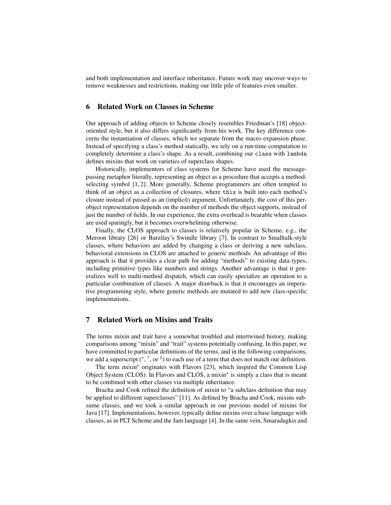and both implementation and interface inheritance. Future work may uncover ways to remove weaknesses and restrictions, making our little pile of features even smaller.

# 6 Related Work on Classes in Scheme

Our approach of adding objects to Scheme closely resembles Friedman's [18] objectoriented style, but it also differs significantly from his work. The key difference concerns the instantiation of classes, which we separate from the macro expansion phase. Instead of specifying a class's method statically, we rely on a run-time computation to completely determine a class's shape. As a result, combining our class with lambda defines mixins that work on varieties of superclass shapes.

Historically, implementors of class systems for Scheme have used the messagepassing metaphor literally, representing an object as a procedure that accepts a methodselecting symbol [1, 2]. More generally, Scheme programmers are often tempted to think of an object as a collection of closures, where this is built into each method's closure instead of passed as an (implicit) argument. Unfortunately, the cost of this perobject representation depends on the number of methods the object supports, instead of just the number of fields. In our experience, the extra overhead is bearable when classes are used sparingly, but it becomes overwhelming otherwise.

Finally, the CLOS approach to classes is relatively popular in Scheme, e.g., the Meroon library [26] or Barzilay's Swindle library [7]. In contrast to Smalltalk-style classes, where behaviors are added by changing a class or deriving a new subclass, behavioral extensions in CLOS are attached to generic methods. An advantage of this approach is that it provides a clear path for adding "methods" to existing data types, including primitive types like numbers and strings. Another advantage is that it generalizes well to multi-method dispatch, which can easily specialize an operation to a particular combination of classes. A major drawback is that it encourages an imperative programming style, where generic methods are mutated to add new class-specific implementations.

# 7 Related Work on Mixins and Traits

The terms mixin and trait have a somewhat troubled and intertwined history, making comparisons among "mixin" and "trait" systems potentially confusing. In this paper, we have committed to particular definitions of the terms, and in the following comparisons, we add a superscript  $({}^{\star}, {}^{\dagger},$  or  ${}^{\ddagger})$  to each use of a term that does not match our definition.

The term  $mixin^*$  originates with Flavors [23], which inspired the Common Lisp Object System (CLOS). In Flavors and CLOS, a mixin<sup>\*</sup> is simply a class that is meant to be combined with other classes via multiple inheritance.

Bracha and Cook refined the definition of mixin to "a subclass definition that may be applied to different superclasses" [11]. As defined by Bracha and Cook, mixins subsume classes, and we took a similar approach in our previous model of mixins for Java [17]. Implementations, however, typically define mixins over a base language with classes, as in PLT Scheme and the Jam language [4]. In the same vein, Smaradagkis and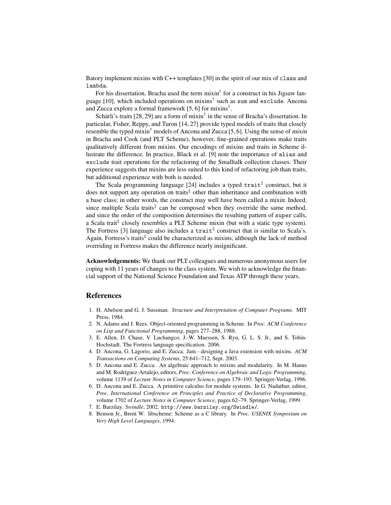Batory implement mixins with C++ templates [30] in the spirit of our mix of class and lambda.

For his dissertation, Bracha used the term mixin<sup>†</sup> for a construct in his Jigsaw language [10], which included operations on mixins† such as sum and exclude. Ancona and Zucca explore a formal framework [5, 6] for mixins† .

Schärli's traits [28, 29] are a form of mixin<sup>†</sup> in the sense of Bracha's dissertation. In particular, Fisher, Reppy, and Turon [14, 27] provide typed models of traits that closely resemble the typed mixin† models of Ancona and Zucca [5, 6]. Using the sense of mixin in Bracha and Cook (and PLT Scheme), however, fine-grained operations make traits qualitatively different from mixins. Our encodings of mixins and traits in Scheme illustrate the difference. In practice, Black et al. [9] note the importance of alias and exclude trait operations for the refactoring of the Smalltalk collection classes. Their experience suggests that mixins are less suited to this kind of refactoring job than traits, but additional experience with both is needed.

The Scala programming language [24] includes a typed  $\text{trait}^{\ddagger}$  construct, but it does not support any operation on traits<sup> $\ddagger$ </sup> other than inheritance and combination with a base class; in other words, the construct may well have been called a mixin. Indeed, since multiple Scala traits<sup>‡</sup> can be composed when they override the same method, and since the order of the composition determines the resulting pattern of super calls, a Scala trait<sup>‡</sup> closely resembles a PLT Scheme mixin (but with a static type system). The Fortress [3] language also includes a  $\text{trait}^{\ddagger}$  construct that is similar to Scala's. Again, Fortress's traits<sup>‡</sup> could be characterized as mixins, although the lack of method overriding in Fortress makes the difference nearly insignificant.

Acknowledgements: We thank our PLT colleagues and numerous anonymous users for coping with 11 years of changes to the class system. We wish to acknowledge the financial support of the National Science Foundation and Texas ATP through these years.

### References

- 1. H. Abelson and G. J. Sussman. *Structure and Interpretation of Computer Programs*. MIT Press, 1984.
- 2. N. Adams and J. Rees. Object-oriented programming in Scheme. In *Proc. ACM Conference on Lisp and Functional Programming*, pages 277–288, 1988.
- 3. E. Allen, D. Chase, V. Luchangco, J.-W. Maessen, S. Ryu, G. L. S. Jr., and S. Tobin-Hochstadt. The Fortress language specification. 2006.
- 4. D. Ancona, G. Lagorio, and E. Zucca. Jam designing a Java extension with mixins. *ACM Transactions on Computing Systems*, 25:641–712, Sept. 2003.
- 5. D. Ancona and E. Zucca. An algebraic approach to mixins and modularity. In M. Hanus and M. Rodríguez-Artalejo, editors, *Proc. Conference on Algebraic and Logic Programming*, volume 1139 of *Lecture Notes in Computer Science*, pages 179–193. Springer-Verlag, 1996.
- 6. D. Ancona and E. Zucca. A primitive calculus for module systems. In G. Nadathur, editor, *Proc. International Conference on Principles and Practice of Declarative Programming*, volume 1702 of *Lecture Notes in Computer Science*, pages 62–79. Springer-Verlag, 1999.
- 7. E. Barzilay. *Swindle*, 2002. http://www.barzilay.org/Swindle/.
- 8. Benson Jr., Brent W. libscheme: Scheme as a C library. In *Proc. USENIX Symposium on Very High Level Languages*, 1994.